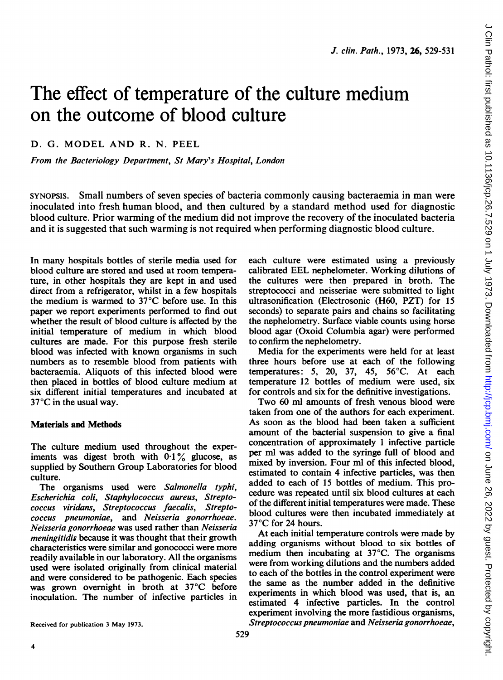# The effect of temperature of the culture medium on the outcome of blood culture

D. G. MODEL AND R. N. PEEL

From the Bacteriology Department, St Mary's Hospital, London

SYNOPSIS. Small numbers of seven species of bacteria commonly causing bacteraemia in man were inoculated into fresh human blood, and then cultured by a standard method used for diagnostic blood culture. Prior warming of the medium did not improve the recovery of the inoculated bacteria and it is suggested that such warming is not required when performing diagnostic blood culture.

In many hospitals bottles of sterile media used for blood culture are stored and used at room temperature, in other hospitals they are kept in and used direct from a refrigerator, whilst in a few hospitals the medium is warmed to 37°C before use. In this paper we report experiments performed to find out whether the result of blood culture is affected by the initial temperature of medium in which blood cultures are made. For this purpose fresh sterile blood was infected with known organisms in such numbers as to resemble blood from patients with bacteraemia. Aliquots of this infected blood were then placed in bottles of blood culture medium at six different initial temperatures and incubated at 37°C in the usual way.

#### Materials and Methods

The culture medium used throughout the experiments was digest broth with  $0.1\%$  glucose, as supplied by Southern Group Laboratories for blood culture.

The organisms used were Salmonella typhi, Escherichia coli, Staphylococcus aureus, Streptococcus viridans, Streptococcus faecalis, Streptococcus pneumoniae, and Neisseria gonorrhoeae. Neisseria gonorrhoeae was used rather than Neisseria meningitidis because it was thought that their growth characteristics were similar and gonococci were more readily available in our laboratory. All the organisms used were isolated originally from clinical material and were considered to be pathogenic. Each species was grown overnight in broth at 37°C before inoculation. The number of infective particles in each culture were estimated using a previously calibrated EEL nephelometer. Working dilutions of the cultures were then prepared in broth. The streptococci and neisseriae were submitted to light ultrasonification (Electrosonic (H60, PZT) for 15 seconds) to separate pairs and chains so facilitating the nephelometry. Surface viable counts using horse blood agar (Oxoid Columbia agar) were performed to confirm the nephelometry.

Media for the experiments were held for at least three hours before use at each of the following temperatures: 5, 20, 37, 45, 56°C. At each temperature 12 bottles of medium were used, six for controls and six for the definitive investigations.

Two 60 ml amounts of fresh venous blood were taken from one of the authors for each experiment. As soon as the blood had been taken a sufficient amount of the bacterial suspension to give a final concentration of approximately <sup>1</sup> infective particle per ml was added to the syringe full of blood and mixed by inversion. Four ml of this infected blood, estimated to contain 4 infective particles, was then added to each of 15 bottles of medium. This procedure was repeated until six blood cultures at each of the different initial temperatures were made. These blood cultures were then incubated immediately at 37°C for 24 hours.

At each initial temperature controls were made by adding organisms without blood to six bottles of medium then incubating at 37°C. The organisms were from working dilutions and the numbers added to each of the bottles in the control experiment were the same as the number added in the definitive experiments in which blood was used, that is, an estimated 4 infective particles. In the control experiment involving the more fastidious organisms, Streptococcus pneumoniae and Neisseria gonorrhoeae,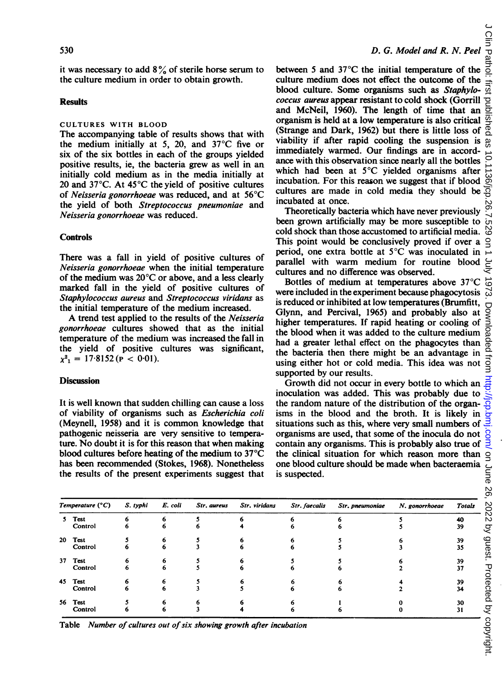it was necessary to add  $8\%$  of sterile horse serum to the culture medium in order to obtain growth.

#### **Results**

#### CULTURES WITH BLOOD

The accompanying table of results shows that with the medium initially at 5, 20, and 37°C five or six of the six bottles in each of the groups yielded positive results, ie, the bacteria grew as well in an initially cold medium as in the media initially at 20 and 37°C. At 45°C the yield of positive cultures of Neisseria gonorrhoeae was reduced, and at 56°C the yield of both Streptococcus pneumoniae and Neisseria gonorrhoeae was reduced.

#### **Controls**

There was a fall in yield of positive cultures of Neisseria gonorrhoeae when the initial temperature of the medium was 20°C or above, and a less clearly marked fall in the yield of positive cultures of Staphylococcus aureus and Streptococcus viridans as the initial temperature of the medium increased.

A trend test applied to the results of the Neisseria gonorrhoeae cultures showed that as the initial temperature of the medium was increased the fall in the yield of positive cultures was significant,  $x^2 = 17.8152$  (**p** < 0.01).

#### **Discussion**

It is well known that sudden chilling can cause a loss of viability of organisms such as Escherichia coli (Meynell, 1958) and it is common knowledge that pathogenic neisseria are very sensitive to temperature. No doubt it is for this reason that when making blood cultures before heating of the medium to 37°C has been recommended (Stokes, 1968). Nonetheless the results of the present experiments suggest that

between 5 and 37°C the initial temperature of the culture medium does not effect the outcome of the blood culture. Some organisms such as Staphylococcus aureus appear resistant to cold shock (Gorrill and McNeil, 1960). The length of time that an organism is held at a low temperature is also critical (Strange and Dark, 1962) but there is little loss of viability if after rapid cooling the suspension is immediately warmed. Our findings are in accordance with this observation since nearly all the bottles which had been at 5°C yielded organisms after incubation. For this reason we suggest that if blood cultures are made in cold media they should be incubated at once.

Theoretically bacteria which have never previously been grown artificially may be more susceptible to cold shock than those accustomed to artificial media. This point would be conclusively proved if over a period, one extra bottle at 5°C was inoculated in parallel with warm medium for routine blood cultures and no difference was observed.

Bottles of medium at temperatures above 37°C were included in the experiment because phagocytosis is reduced or inhibited at low temperatures (Brumfitt, Glynn, and Percival, 1965) and probably also at higher temperatures. If rapid heating or cooling of the blood when it was added to the culture medium had a greater lethal effect on the phagocytes than the bacteria then there might be an advantage in using either hot or cold media. This idea was not supported by our results.

Growth did not occur in every bottle to which an inoculation was added. This was probably due to the random nature of the distribution of the organisms in the blood and the broth. It is likely in situations such as this, where very small numbers of organisms are used, that some of the inocula do not contain any organisms. This is probably also true of the clinical situation for which reason more than one blood culture should be made when bacteraemia is suspected.

| Temperature (°C) |         | S. typhi | E. coli | Str. aureus | Str. viridans | Str. faecalis | Str. pneumoniae | N. gonorrhoeae | <b>Totals</b> |
|------------------|---------|----------|---------|-------------|---------------|---------------|-----------------|----------------|---------------|
| 5.               | Test    |          | 6       |             |               |               |                 |                | 40            |
|                  | Control |          | 6       |             |               |               |                 |                | 39            |
|                  | 20 Test |          |         |             |               |               |                 |                | 39            |
|                  | Control | o        | 6       |             |               |               |                 |                | 35            |
|                  | 37 Test |          |         |             |               |               |                 |                | 39            |
|                  | Control | 6        | 6       |             |               |               |                 |                | 37            |
|                  | 45 Test |          |         |             |               |               |                 |                | 39            |
|                  | Control | o        | 6       |             |               |               |                 |                | 34            |
|                  | 56 Test |          |         |             |               |               |                 |                | 30            |
|                  | Control |          | 6       |             |               |               |                 |                | 31            |

Table Number of cultures out of six showing growth after incubation